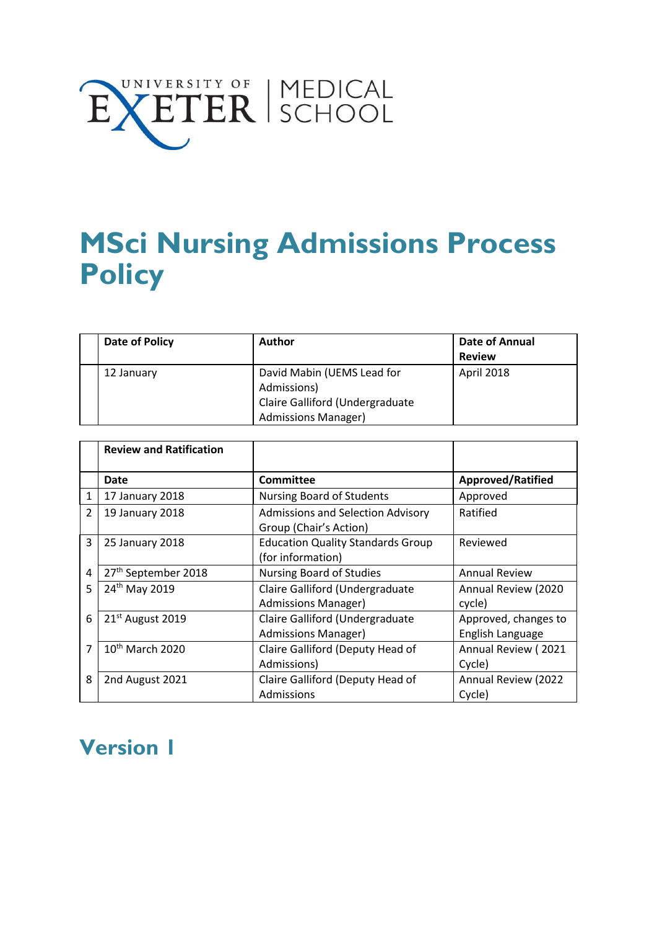

# **MSci Nursing Admissions Process Policy**

| Date of Policy | Author                          |               |
|----------------|---------------------------------|---------------|
|                |                                 | <b>Review</b> |
| 12 January     | David Mabin (UEMS Lead for      | April 2018    |
|                | Admissions)                     |               |
|                | Claire Galliford (Undergraduate |               |
|                | <b>Admissions Manager)</b>      |               |

|              | <b>Review and Ratification</b> |                                                                    |                                          |
|--------------|--------------------------------|--------------------------------------------------------------------|------------------------------------------|
|              | Date                           | <b>Committee</b>                                                   | Approved/Ratified                        |
| $\mathbf{1}$ | 17 January 2018                | <b>Nursing Board of Students</b><br>Approved                       |                                          |
| 2            | 19 January 2018                | <b>Admissions and Selection Advisory</b><br>Group (Chair's Action) | Ratified                                 |
| 3            | 25 January 2018                | <b>Education Quality Standards Group</b><br>(for information)      | Reviewed                                 |
| 4            | 27th September 2018            | <b>Nursing Board of Studies</b>                                    | <b>Annual Review</b>                     |
| 5            | 24th May 2019                  | Claire Galliford (Undergraduate<br><b>Admissions Manager)</b>      | Annual Review (2020<br>cycle)            |
| 6            | 21 <sup>st</sup> August 2019   | Claire Galliford (Undergraduate<br><b>Admissions Manager)</b>      | Approved, changes to<br>English Language |
| 7            | $10th$ March 2020              | Claire Galliford (Deputy Head of<br>Admissions)                    | Annual Review (2021<br>Cycle)            |
| 8            | 2nd August 2021                | Claire Galliford (Deputy Head of<br>Admissions                     | <b>Annual Review (2022)</b><br>Cycle)    |

# **Version 1**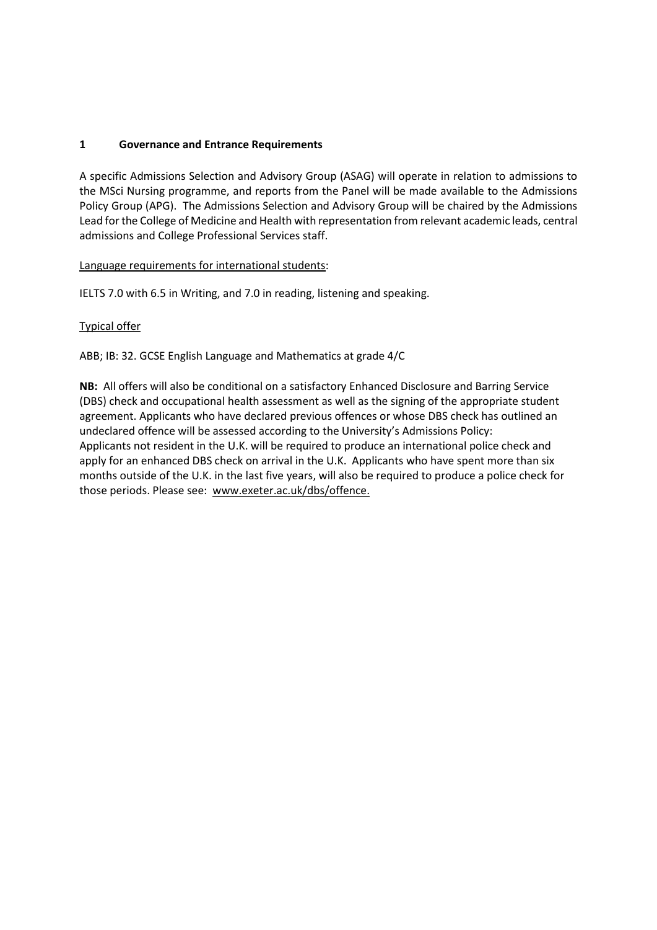#### **1 Governance and Entrance Requirements**

A specific Admissions Selection and Advisory Group (ASAG) will operate in relation to admissions to the MSci Nursing programme, and reports from the Panel will be made available to the Admissions Policy Group (APG). The Admissions Selection and Advisory Group will be chaired by the Admissions Lead for the College of Medicine and Health with representation from relevant academic leads, central admissions and College Professional Services staff.

#### Language requirements for international students:

IELTS 7.0 with 6.5 in Writing, and 7.0 in reading, listening and speaking.

#### Typical offer

ABB; IB: 32. GCSE English Language and Mathematics at grade 4/C

**NB:** All offers will also be conditional on a satisfactory Enhanced Disclosure and Barring Service (DBS) check and occupational health assessment as well as the signing of the appropriate student agreement. Applicants who have declared previous offences or whose DBS check has outlined an undeclared offence will be assessed according to the University's Admissions Policy: Applicants not resident in the U.K. will be required to produce an international police check and apply for an enhanced DBS check on arrival in the U.K. Applicants who have spent more than six months outside of the U.K. in the last five years, will also be required to produce a police check for those periods. Please see: [www.exeter.ac.uk/dbs/o](http://www.exeter.ac.uk/dbs/)ffence.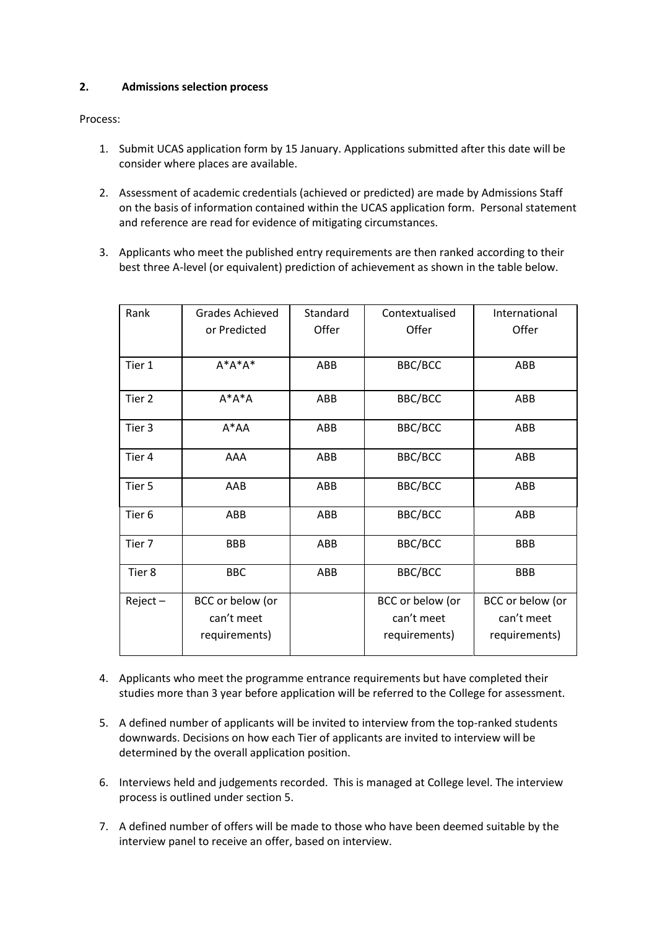#### **2. Admissions selection process**

Process:

- 1. Submit UCAS application form by 15 January. Applications submitted after this date will be consider where places are available.
- 2. Assessment of academic credentials (achieved or predicted) are made by Admissions Staff on the basis of information contained within the UCAS application form. Personal statement and reference are read for evidence of mitigating circumstances.
- 3. Applicants who meet the published entry requirements are then ranked according to their best three A-level (or equivalent) prediction of achievement as shown in the table below.

| Rank              | <b>Grades Achieved</b><br>or Predicted          | Standard<br>Offer | Contextualised<br>Offer                         | International<br>Offer                          |
|-------------------|-------------------------------------------------|-------------------|-------------------------------------------------|-------------------------------------------------|
| Tier 1            | $A^*A^*A^*$                                     | ABB               | BBC/BCC                                         | ABB                                             |
| Tier 2            | $A^*A^*A$                                       | <b>ABB</b>        | BBC/BCC                                         | ABB                                             |
| Tier 3            | $A^*AA$                                         | ABB               | BBC/BCC                                         | ABB                                             |
| Tier 4            | AAA                                             | <b>ABB</b>        | BBC/BCC                                         | ABB                                             |
| Tier 5            | AAB                                             | ABB               | BBC/BCC                                         | ABB                                             |
| Tier <sub>6</sub> | ABB                                             | ABB               | BBC/BCC                                         | ABB                                             |
| Tier 7            | <b>BBB</b>                                      | ABB               | BBC/BCC                                         | <b>BBB</b>                                      |
| Tier 8            | <b>BBC</b>                                      | ABB               | BBC/BCC                                         | <b>BBB</b>                                      |
| $Reject -$        | BCC or below (or<br>can't meet<br>requirements) |                   | BCC or below (or<br>can't meet<br>requirements) | BCC or below (or<br>can't meet<br>requirements) |

- 4. Applicants who meet the programme entrance requirements but have completed their studies more than 3 year before application will be referred to the College for assessment.
- 5. A defined number of applicants will be invited to interview from the top-ranked students downwards. Decisions on how each Tier of applicants are invited to interview will be determined by the overall application position.
- 6. Interviews held and judgements recorded. This is managed at College level. The interview process is outlined under section 5.
- 7. A defined number of offers will be made to those who have been deemed suitable by the interview panel to receive an offer, based on interview.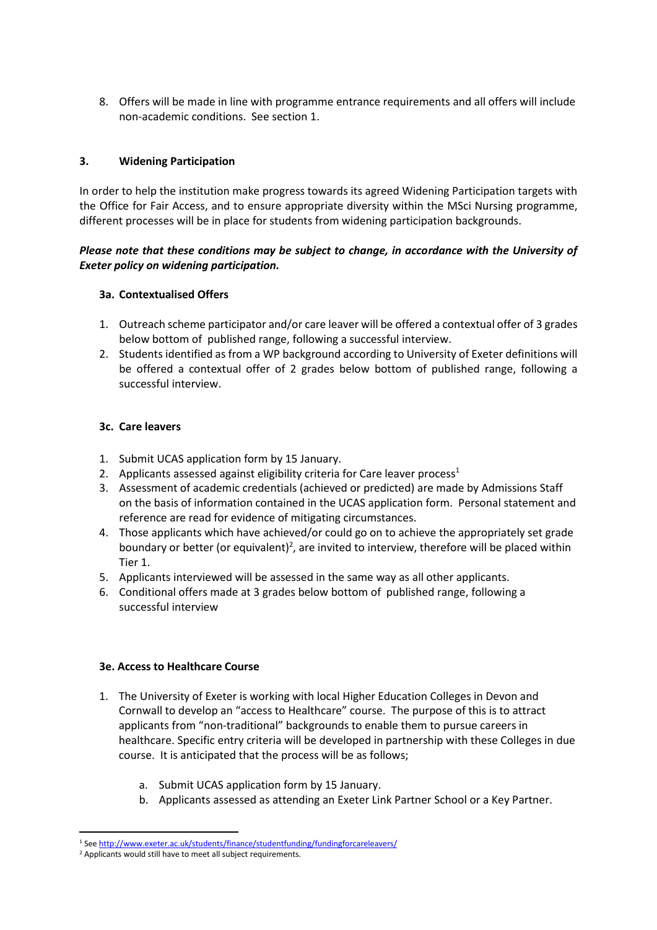8. Offers will be made in line with programme entrance requirements and all offers will include non-academic conditions. See section 1.

#### **3. Widening Participation**

In order to help the institution make progress towards its agreed Widening Participation targets with the Office for Fair Access, and to ensure appropriate diversity within the MSci Nursing programme, different processes will be in place for students from widening participation backgrounds.

#### *Please note that these conditions may be subject to change, in accordance with the University of Exeter policy on widening participation.*

#### **3a. Contextualised Offers**

- 1. Outreach scheme participator and/or care leaver will be offered a contextual offer of 3 grades below bottom of published range, following a successful interview.
- 2. Students identified as from a WP background according to University of Exeter definitions will be offered a contextual offer of 2 grades below bottom of published range, following a successful interview.

#### **3c. Care leavers**

- 1. Submit UCAS application form by 15 January.
- 2. Applicants assessed against eligibility criteria for Care leaver process<sup>1</sup>
- 3. Assessment of academic credentials (achieved or predicted) are made by Admissions Staff on the basis of information contained in the UCAS application form. Personal statement and reference are read for evidence of mitigating circumstances.
- 4. Those applicants which have achieved/or could go on to achieve the appropriately set grade boundary or better (or equivalent)<sup>2</sup>, are invited to interview, therefore will be placed within Tier 1.
- 5. Applicants interviewed will be assessed in the same way as all other applicants.
- 6. Conditional offers made at 3 grades below bottom of published range, following a successful interview

#### **3e. Access to Healthcare Course**

- 1. The University of Exeter is working with local Higher Education Colleges in Devon and Cornwall to develop an "access to Healthcare" course. The purpose of this is to attract applicants from "non-traditional" backgrounds to enable them to pursue careers in healthcare. Specific entry criteria will be developed in partnership with these Colleges in due course. It is anticipated that the process will be as follows;
	- a. Submit UCAS application form by 15 January.
	- b. Applicants assessed as attending an Exeter Link Partner School or a Key Partner.

1

<sup>1</sup> Se[e http://www.exeter.ac.uk/students/finance/studentfunding/fundingforcareleavers/](http://www.exeter.ac.uk/students/finance/studentfunding/fundingforcareleavers/)

<sup>&</sup>lt;sup>2</sup> Applicants would still have to meet all subject requirements.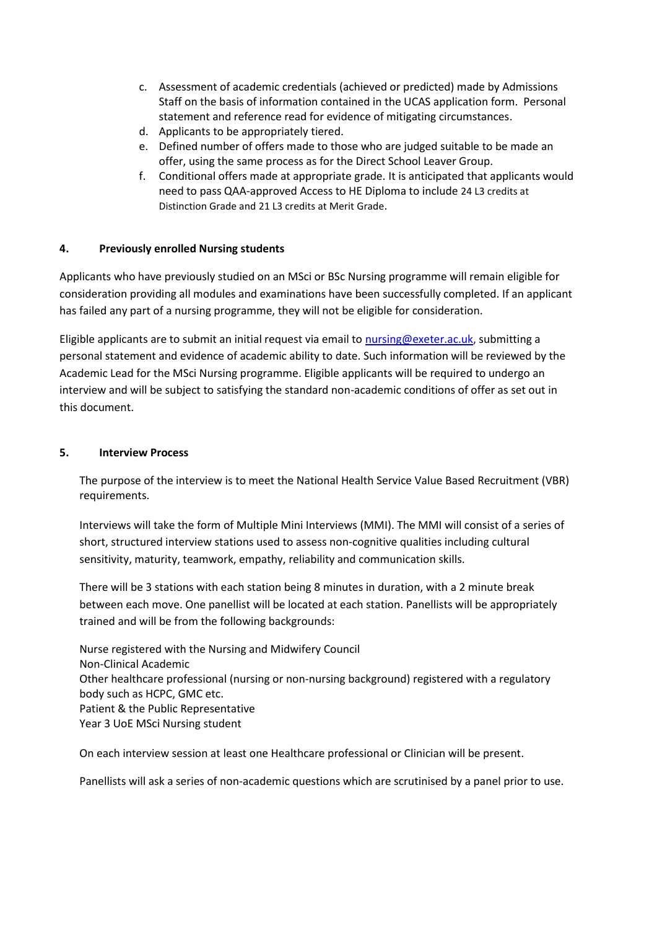- c. Assessment of academic credentials (achieved or predicted) made by Admissions Staff on the basis of information contained in the UCAS application form. Personal statement and reference read for evidence of mitigating circumstances.
- d. Applicants to be appropriately tiered.
- e. Defined number of offers made to those who are judged suitable to be made an offer, using the same process as for the Direct School Leaver Group.
- f. Conditional offers made at appropriate grade. It is anticipated that applicants would need to pass QAA-approved Access to HE Diploma to include 24 L3 credits at Distinction Grade and 21 L3 credits at Merit Grade.

#### **4. Previously enrolled Nursing students**

Applicants who have previously studied on an MSci or BSc Nursing programme will remain eligible for consideration providing all modules and examinations have been successfully completed. If an applicant has failed any part of a nursing programme, they will not be eligible for consideration.

Eligible applicants are to submit an initial request via email to [nursing@exeter.ac.uk,](mailto:medicine@exeter.ac.uk) submitting a personal statement and evidence of academic ability to date. Such information will be reviewed by the Academic Lead for the MSci Nursing programme. Eligible applicants will be required to undergo an interview and will be subject to satisfying the standard non-academic conditions of offer as set out in this document.

#### **5. Interview Process**

The purpose of the interview is to meet the National Health Service Value Based Recruitment (VBR) requirements.

Interviews will take the form of Multiple Mini Interviews (MMI). The MMI will consist of a series of short, structured interview stations used to assess non-cognitive qualities including cultural sensitivity, maturity, teamwork, empathy, reliability and communication skills.

There will be 3 stations with each station being 8 minutes in duration, with a 2 minute break between each move. One panellist will be located at each station. Panellists will be appropriately trained and will be from the following backgrounds:

Nurse registered with the Nursing and Midwifery Council Non-Clinical Academic Other healthcare professional (nursing or non-nursing background) registered with a regulatory body such as HCPC, GMC etc. Patient & the Public Representative Year 3 UoE MSci Nursing student

On each interview session at least one Healthcare professional or Clinician will be present.

Panellists will ask a series of non-academic questions which are scrutinised by a panel prior to use.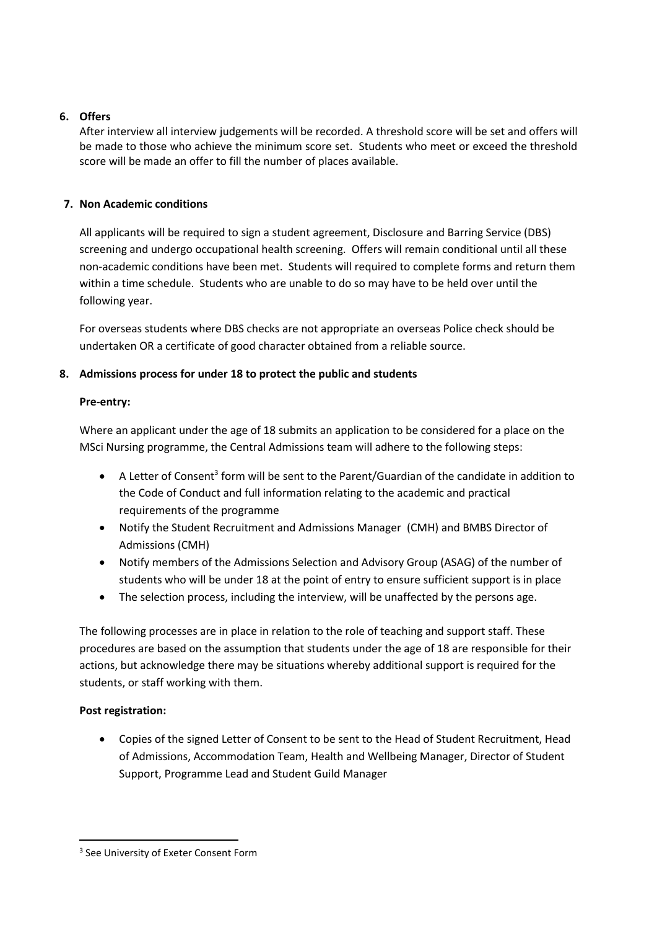# **6. Offers**

After interview all interview judgements will be recorded. A threshold score will be set and offers will be made to those who achieve the minimum score set. Students who meet or exceed the threshold score will be made an offer to fill the number of places available.

# **7. Non Academic conditions**

All applicants will be required to sign a student agreement, Disclosure and Barring Service (DBS) screening and undergo occupational health screening. Offers will remain conditional until all these non-academic conditions have been met. Students will required to complete forms and return them within a time schedule. Students who are unable to do so may have to be held over until the following year.

For overseas students where DBS checks are not appropriate an overseas Police check should be undertaken OR a certificate of good character obtained from a reliable source.

# **8. Admissions process for under 18 to protect the public and students**

## **Pre-entry:**

Where an applicant under the age of 18 submits an application to be considered for a place on the MSci Nursing programme, the Central Admissions team will adhere to the following steps:

- $\bullet$  A Letter of Consent<sup>3</sup> form will be sent to the Parent/Guardian of the candidate in addition to the Code of Conduct and full information relating to the academic and practical requirements of the programme
- Notify the Student Recruitment and Admissions Manager (CMH) and BMBS Director of Admissions (CMH)
- Notify members of the Admissions Selection and Advisory Group (ASAG) of the number of students who will be under 18 at the point of entry to ensure sufficient support is in place
- The selection process, including the interview, will be unaffected by the persons age.

The following processes are in place in relation to the role of teaching and support staff. These procedures are based on the assumption that students under the age of 18 are responsible for their actions, but acknowledge there may be situations whereby additional support is required for the students, or staff working with them.

## **Post registration:**

 Copies of the signed Letter of Consent to be sent to the Head of Student Recruitment, Head of Admissions, Accommodation Team, Health and Wellbeing Manager, Director of Student Support, Programme Lead and Student Guild Manager

**<sup>.</sup>** <sup>3</sup> See University of Exeter Consent Form